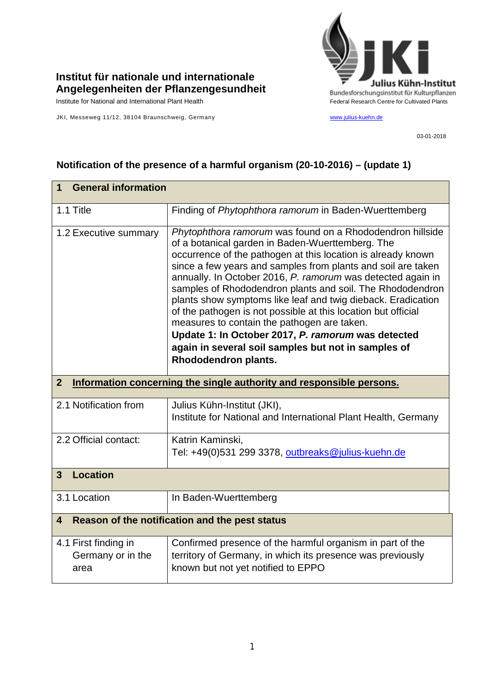

## **Institut für nationale und internationale Angelegenheiten der Pflanzengesundheit**

JKI, Messeweg 11/12, 38104 Braunschweig, Germany [www.julius-kuehn.de](http://www.julius-kuehn.de/)

03-01-2018

| <b>General information</b><br>1                                                        |                                                                                                                                                                                                                                                                                                                                                                                                                                                                                                                                                                                                                                                                                                |  |
|----------------------------------------------------------------------------------------|------------------------------------------------------------------------------------------------------------------------------------------------------------------------------------------------------------------------------------------------------------------------------------------------------------------------------------------------------------------------------------------------------------------------------------------------------------------------------------------------------------------------------------------------------------------------------------------------------------------------------------------------------------------------------------------------|--|
| 1.1 Title                                                                              | Finding of Phytophthora ramorum in Baden-Wuerttemberg                                                                                                                                                                                                                                                                                                                                                                                                                                                                                                                                                                                                                                          |  |
| 1.2 Executive summary                                                                  | Phytophthora ramorum was found on a Rhododendron hillside<br>of a botanical garden in Baden-Wuerttemberg. The<br>occurrence of the pathogen at this location is already known<br>since a few years and samples from plants and soil are taken<br>annually. In October 2016, P. ramorum was detected again in<br>samples of Rhododendron plants and soil. The Rhododendron<br>plants show symptoms like leaf and twig dieback. Eradication<br>of the pathogen is not possible at this location but official<br>measures to contain the pathogen are taken.<br>Update 1: In October 2017, P. ramorum was detected<br>again in several soil samples but not in samples of<br>Rhododendron plants. |  |
| Information concerning the single authority and responsible persons.<br>$\overline{2}$ |                                                                                                                                                                                                                                                                                                                                                                                                                                                                                                                                                                                                                                                                                                |  |
| 2.1 Notification from                                                                  | Julius Kühn-Institut (JKI),<br>Institute for National and International Plant Health, Germany                                                                                                                                                                                                                                                                                                                                                                                                                                                                                                                                                                                                  |  |
| 2.2 Official contact:                                                                  | Katrin Kaminski,<br>Tel: +49(0)531 299 3378, outbreaks@julius-kuehn.de                                                                                                                                                                                                                                                                                                                                                                                                                                                                                                                                                                                                                         |  |
| <b>Location</b><br>$\mathbf{3}$                                                        |                                                                                                                                                                                                                                                                                                                                                                                                                                                                                                                                                                                                                                                                                                |  |
| 3.1 Location                                                                           | In Baden-Wuerttemberg                                                                                                                                                                                                                                                                                                                                                                                                                                                                                                                                                                                                                                                                          |  |
| Reason of the notification and the pest status<br>4                                    |                                                                                                                                                                                                                                                                                                                                                                                                                                                                                                                                                                                                                                                                                                |  |
| 4.1 First finding in<br>Germany or in the<br>area                                      | Confirmed presence of the harmful organism in part of the<br>territory of Germany, in which its presence was previously<br>known but not yet notified to EPPO                                                                                                                                                                                                                                                                                                                                                                                                                                                                                                                                  |  |

## **Notification of the presence of a harmful organism (20-10-2016) – (update 1)**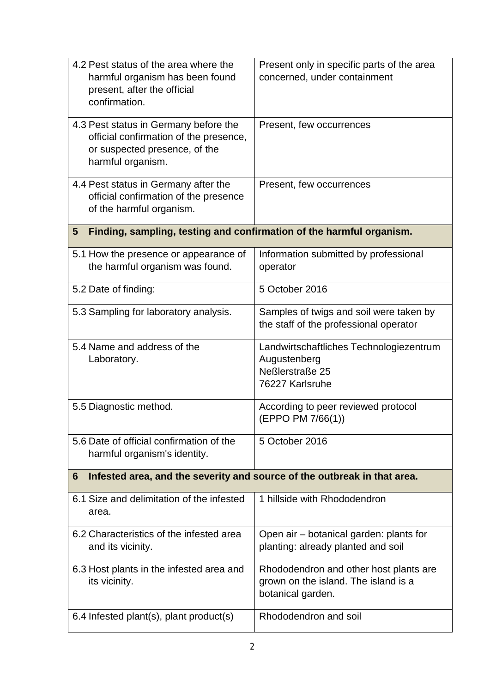| 4.2 Pest status of the area where the<br>harmful organism has been found<br>present, after the official<br>confirmation.              | Present only in specific parts of the area<br>concerned, under containment                          |  |  |
|---------------------------------------------------------------------------------------------------------------------------------------|-----------------------------------------------------------------------------------------------------|--|--|
| 4.3 Pest status in Germany before the<br>official confirmation of the presence,<br>or suspected presence, of the<br>harmful organism. | Present, few occurrences                                                                            |  |  |
| 4.4 Pest status in Germany after the<br>official confirmation of the presence<br>of the harmful organism.                             | Present, few occurrences                                                                            |  |  |
| Finding, sampling, testing and confirmation of the harmful organism.<br>5                                                             |                                                                                                     |  |  |
| 5.1 How the presence or appearance of<br>the harmful organism was found.                                                              | Information submitted by professional<br>operator                                                   |  |  |
| 5.2 Date of finding:                                                                                                                  | 5 October 2016                                                                                      |  |  |
| 5.3 Sampling for laboratory analysis.                                                                                                 | Samples of twigs and soil were taken by<br>the staff of the professional operator                   |  |  |
| 5.4 Name and address of the<br>Laboratory.                                                                                            | Landwirtschaftliches Technologiezentrum<br>Augustenberg<br>Neßlerstraße 25<br>76227 Karlsruhe       |  |  |
| 5.5 Diagnostic method.                                                                                                                | According to peer reviewed protocol<br>(EPPO PM 7/66(1))                                            |  |  |
| 5.6 Date of official confirmation of the<br>harmful organism's identity.                                                              | 5 October 2016                                                                                      |  |  |
| Infested area, and the severity and source of the outbreak in that area.<br>6                                                         |                                                                                                     |  |  |
| 6.1 Size and delimitation of the infested<br>area.                                                                                    | 1 hillside with Rhododendron                                                                        |  |  |
| 6.2 Characteristics of the infested area<br>and its vicinity.                                                                         | Open air – botanical garden: plants for<br>planting: already planted and soil                       |  |  |
| 6.3 Host plants in the infested area and<br>its vicinity.                                                                             | Rhododendron and other host plants are<br>grown on the island. The island is a<br>botanical garden. |  |  |
| 6.4 Infested plant(s), plant product(s)                                                                                               | Rhododendron and soil                                                                               |  |  |